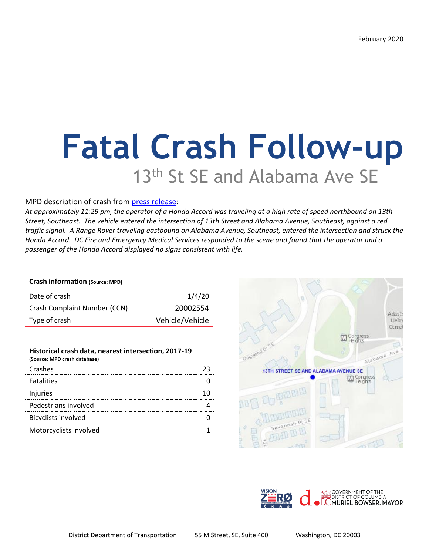# **Fatal Crash Follow-up** 13<sup>th</sup> St SE and Alabama Ave SE

### MPD description of crash from [press release:](https://mpdc.dc.gov/release/traffic-fatalities-intersection-13th-street-and-alabama-avenue-southeast)

*At approximately 11:29 pm, the operator of a Honda Accord was traveling at a high rate of speed northbound on 13th Street, Southeast. The vehicle entered the intersection of 13th Street and Alabama Avenue, Southeast, against a red traffic signal. A Range Rover traveling eastbound on Alabama Avenue, Southeast, entered the intersection and struck the Honda Accord. DC Fire and Emergency Medical Services responded to the scene and found that the operator and a passenger of the Honda Accord displayed no signs consistent with life.*

#### **Crash information (Source: MPD)**

| Date of crash                | 1/4/20          |
|------------------------------|-----------------|
| Crash Complaint Number (CCN) | 20002554        |
| Type of crash                | Vehicle/Vehicle |

| Historical crash data, nearest intersection, 2017-19<br>(Source: MPD crash database) |  |
|--------------------------------------------------------------------------------------|--|
| Crashes                                                                              |  |
| <b>Fatalities</b>                                                                    |  |
| Injuries                                                                             |  |
| Pedestrians involved                                                                 |  |
| <b>Bicyclists involved</b>                                                           |  |
| Motorcyclists involved                                                               |  |